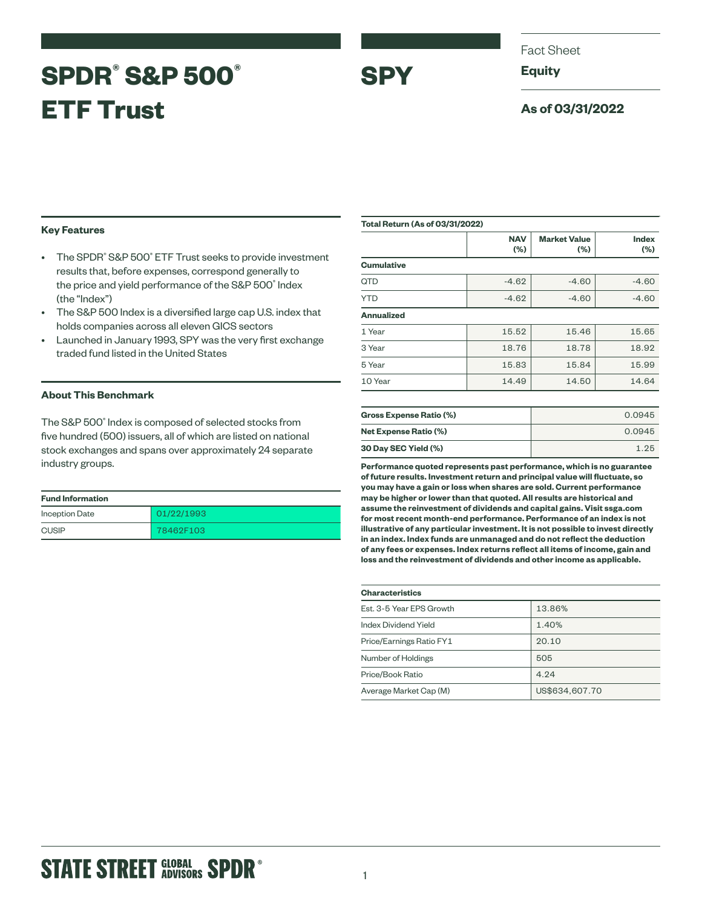# **SPDR® S&P 500® ETF Trust**

Fact Sheet

**Equity**

**SPY**

# **As of 03/31/2022**

# **Key Features**

- The SPDR<sup>®</sup> S&P 500<sup>®</sup> ETF Trust seeks to provide investment results that, before expenses, correspond generally to the price and yield performance of the S&P 500® Index (the "Index")
- The S&P 500 Index is a diversified large cap U.S. index that holds companies across all eleven GICS sectors
- Launched in January 1993, SPY was the very first exchange traded fund listed in the United States

## **About This Benchmark**

The S&P 500° Index is composed of selected stocks from five hundred (500) issuers, all of which are listed on national stock exchanges and spans over approximately 24 separate industry groups.

| <b>Fund Information</b> |            |
|-------------------------|------------|
| <b>Inception Date</b>   | 01/22/1993 |
| <b>CUSIP</b>            | 78462F103  |

| <b>Total Return (As of 03/31/2022)</b> |                   |                               |                        |  |
|----------------------------------------|-------------------|-------------------------------|------------------------|--|
|                                        | <b>NAV</b><br>(%) | <b>Market Value</b><br>$(\%)$ | <b>Index</b><br>$(\%)$ |  |
| <b>Cumulative</b>                      |                   |                               |                        |  |
| <b>QTD</b>                             | $-4.62$           | $-4.60$                       | $-4.60$                |  |
| <b>YTD</b>                             | $-4.62$           | $-4.60$                       | $-4.60$                |  |
| <b>Annualized</b>                      |                   |                               |                        |  |
| 1 Year                                 | 15.52             | 15.46                         | 15.65                  |  |
| 3 Year                                 | 18.76             | 18.78                         | 18.92                  |  |
| 5 Year                                 | 15.83             | 15.84                         | 15.99                  |  |
| 10 Year                                | 14.49             | 14.50                         | 14.64                  |  |
|                                        |                   |                               |                        |  |
| <b>Gross Expense Ratio (%)</b>         |                   |                               | 0.0945                 |  |
| <b>Net Expense Ratio (%)</b>           |                   |                               | 0.0945                 |  |

**30 Day SEC Yield (%)** 1.25 **Performance quoted represents past performance, which is no guarantee of future results. Investment return and principal value will fluctuate, so you may have a gain or loss when shares are sold. Current performance may be higher or lower than that quoted. All results are historical and assume the reinvestment of dividends and capital gains. Visit ssga.com for most recent month-end performance. Performance of an index is not illustrative of any particular investment. It is not possible to invest directly in an index. Index funds are unmanaged and do not reflect the deduction of any fees or expenses. Index returns reflect all items of income, gain and loss and the reinvestment of dividends and other income as applicable.**

| <b>Characteristics</b>   |                |  |  |  |
|--------------------------|----------------|--|--|--|
| Est. 3-5 Year EPS Growth | 13.86%         |  |  |  |
| Index Dividend Yield     | 1.40%          |  |  |  |
| Price/Earnings Ratio FY1 | 20.10          |  |  |  |
| Number of Holdings       | 505            |  |  |  |
| Price/Book Ratio         | 4.24           |  |  |  |
| Average Market Cap (M)   | US\$634,607.70 |  |  |  |